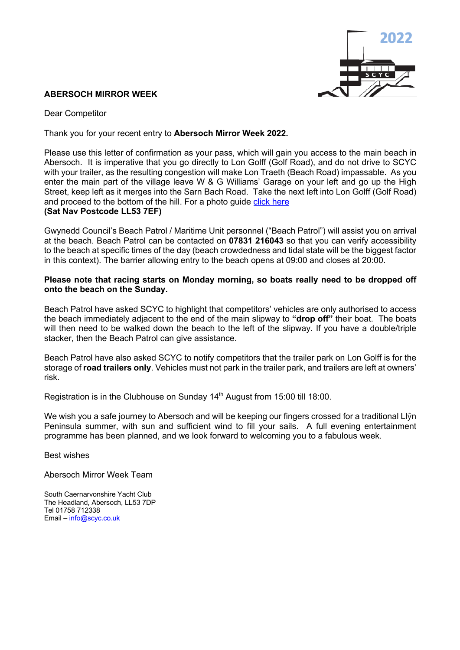

## **ABERSOCH MIRROR WEEK**

Dear Competitor

Thank you for your recent entry to **Abersoch Mirror Week 2022.**

Please use this letter of confirmation as your pass, which will gain you access to the main beach in Abersoch. It is imperative that you go directly to Lon Golff (Golf Road), and do not drive to SCYC with your trailer, as the resulting congestion will make Lon Traeth (Beach Road) impassable. As you enter the main part of the village leave W & G Williams' Garage on your left and go up the High Street, keep left as it merges into the Sarn Bach Road. Take the next left into Lon Golff (Golf Road) and proceed to the bottom of the hill. For a photo quide click here **(Sat Nav Postcode LL53 7EF)**

Gwynedd Council's Beach Patrol / Maritime Unit personnel ("Beach Patrol") will assist you on arrival at the beach. Beach Patrol can be contacted on **07831 216043** so that you can verify accessibility to the beach at specific times of the day (beach crowdedness and tidal state will be the biggest factor in this context). The barrier allowing entry to the beach opens at 09:00 and closes at 20:00.

## **Please note that racing starts on Monday morning, so boats really need to be dropped off onto the beach on the Sunday.**

Beach Patrol have asked SCYC to highlight that competitors' vehicles are only authorised to access the beach immediately adjacent to the end of the main slipway to **"drop off"** their boat. The boats will then need to be walked down the beach to the left of the slipway. If you have a double/triple stacker, then the Beach Patrol can give assistance.

Beach Patrol have also asked SCYC to notify competitors that the trailer park on Lon Golff is for the storage of **road trailers only**. Vehicles must not park in the trailer park, and trailers are left at owners' risk.

Registration is in the Clubhouse on Sunday 14<sup>th</sup> August from 15:00 till 18:00.

We wish you a safe journey to Abersoch and will be keeping our fingers crossed for a traditional Llŷn Peninsula summer, with sun and sufficient wind to fill your sails. A full evening entertainment programme has been planned, and we look forward to welcoming you to a fabulous week.

Best wishes

Abersoch Mirror Week Team

South Caernarvonshire Yacht Club The Headland, Abersoch, LL53 7DP Tel 01758 712338 Email – info@scyc.co.uk